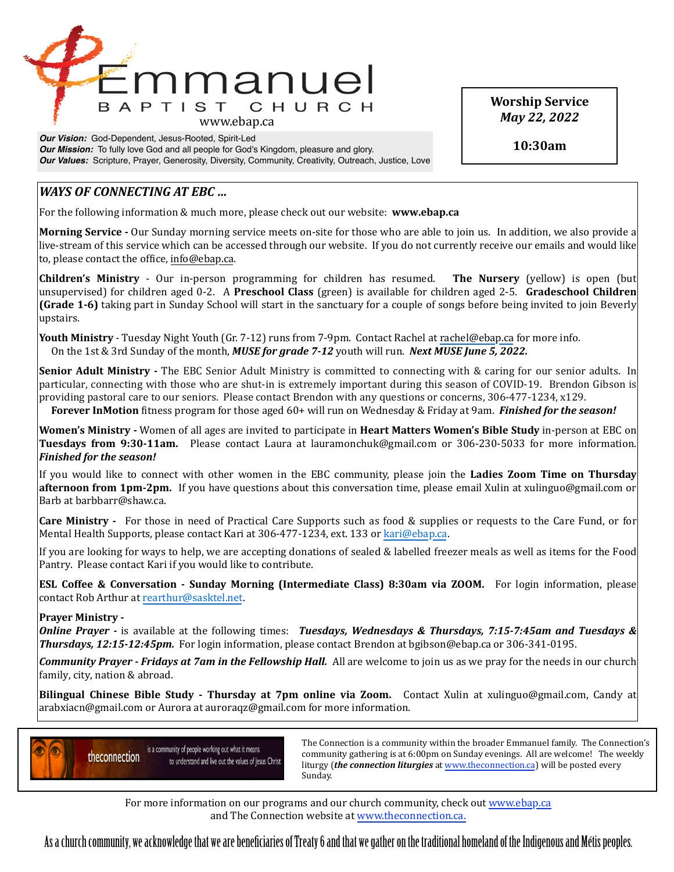

*Our Vision:* God-Dependent, Jesus-Rooted, Spirit-Led **Our Mission:** To fully love God and all people for God's Kingdom, pleasure and glory. *Our Values:* Scripture, Prayer, Generosity, Diversity, Community, Creativity, Outreach, Justice, Love **Worship Service** *May 22, 2022*

**10:30am**

## *WAYS* OF CONNECTING AT EBC ...

For the following information & much more, please check out our website: **www.ebap.ca** 

**Morning Service** - Our Sunday morning service meets on-site for those who are able to join us. In addition, we also provide a live-stream of this service which can be accessed through our website. If you do not currently receive our emails and would like to, please contact the office, info@ebap.ca.

**Children's Ministry** - Our in-person programming for children has resumed. The Nursery (yellow) is open (but unsupervised) for children aged 0-2. A Preschool Class (green) is available for children aged 2-5. Gradeschool Children **(Grade 1-6)** taking part in Sunday School will start in the sanctuary for a couple of songs before being invited to join Beverly upstairs. 

**Youth Ministry** - Tuesday Night Youth (Gr. 7-12) runs from 7-9pm. Contact Rachel at [rachel@ebap.ca](mailto:rachel@ebap.ca) for more info. On the 1st & 3rd Sunday of the month, *MUSE for grade 7-12* youth will run. *Next MUSE June 5, 2022.* 

**Senior Adult Ministry** - The EBC Senior Adult Ministry is committed to connecting with & caring for our senior adults. In particular, connecting with those who are shut-in is extremely important during this season of COVID-19. Brendon Gibson is providing pastoral care to our seniors. Please contact Brendon with any questions or concerns, 306-477-1234, x129.

**Forever InMotion** fitness program for those aged 60+ will run on Wednesday & Friday at 9am. *Finished for the season!* 

Women's Ministry - Women of all ages are invited to participate in Heart Matters Women's Bible Study in-person at EBC on **Tuesdays from 9:30-11am.** Please contact Laura at lauramonchuk@gmail.com or 306-230-5033 for more information. *Finished for the season!* 

If you would like to connect with other women in the EBC community, please join the Ladies Zoom Time on Thursday **afternoon from 1pm-2pm.** If you have questions about this conversation time, please email Xulin at xulinguo@gmail.com or Barb at barbbarr@shaw.ca.

**Care Ministry** - For those in need of Practical Care Supports such as food & supplies or requests to the Care Fund, or for Mental Health Supports, please contact Kari at 306-477-1234, ext. 133 or [kari@ebap.ca.](mailto:kari@ebap.ca)

If you are looking for ways to help, we are accepting donations of sealed & labelled freezer meals as well as items for the Food Pantry. Please contact Kari if you would like to contribute.

**ESL Coffee & Conversation - Sunday Morning (Intermediate Class) 8:30am via ZOOM.** For login information, please contact Rob Arthur at [rearthur@sasktel.net.](mailto:rearthur@sasktel.net)

## **Prayer Ministry -**

**Online Prayer** - is available at the following times: *Tuesdays, Wednesdays & Thursdays, 7:15-7:45am and Tuesdays & Thursdays, 12:15-12:45pm.* For login information, please contact Brendon at bgibson@ebap.ca or 306-341-0195.

**Community Prayer** - Fridays at 7am in the Fellowship Hall. All are welcome to join us as we pray for the needs in our church family, city, nation & abroad.

**Bilingual Chinese Bible Study - Thursday at 7pm online via Zoom.** Contact Xulin at xulinguo@gmail.com, Candy at arabxiacn@gmail.com or Aurora at auroraqz@gmail.com for more information.



Is a community of people working out what it means<br>
a community are the prima is at 6.00 nm on Sunday ayoning a 11 are yellowned. The yugokly community gathering is at 6:00pm on Sunday evenings. All are welcome! The weekly liturgy (*the connection liturgies* at www.theconnection.ca) will be posted every Sunday. The contract of the contract of the contract of the contract of the contract of the contract of the contract of the contract of the contract of the contract of the contract of the contract of the contract of the co

For more information on our programs and our church community, check out www.ebap.ca and The Connection website at [www.theconnection.ca](http://www.theconnection.ca).

As a church community, we acknowledge that we are benefciaries of Treaty 6 and that we gather on the traditional homeland of the Indigenous and Métis peoples.